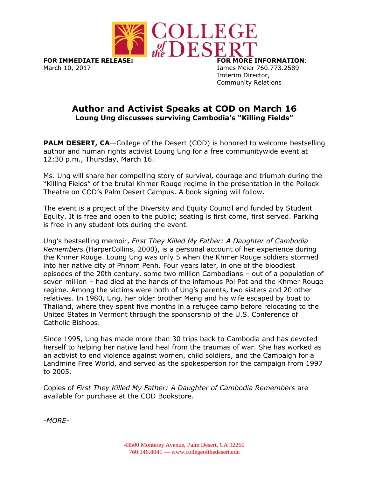

**FOR IMMEDIATE RELEASE: FOR MORE INFORMATION**: March 10, 2017 James Meier 760.773.2589

Imterim Director, Community Relations

## **Author and Activist Speaks at COD on March 16 Loung Ung discusses surviving Cambodia's "Killing Fields"**

**PALM DESERT, CA-College of the Desert (COD) is honored to welcome bestselling** author and human rights activist Loung Ung for a free communitywide event at 12:30 p.m., Thursday, March 16.

Ms. Ung will share her compelling story of survival, courage and triumph during the "Killing Fields" of the brutal Khmer Rouge regime in the presentation in the Pollock Theatre on COD's Palm Desert Campus. A book signing will follow.

The event is a project of the Diversity and Equity Council and funded by Student Equity. It is free and open to the public; seating is first come, first served. Parking is free in any student lots during the event.

Ung's bestselling memoir, *First They Killed My Father: A Daughter of Cambodia Remembers* (HarperCollins, 2000), is a personal account of her experience during the Khmer Rouge. Loung Ung was only 5 when the Khmer Rouge soldiers stormed into her native city of Phnom Penh. Four years later, in one of the bloodiest episodes of the 20th century, some two million Cambodians – out of a population of seven million – had died at the hands of the infamous Pol Pot and the Khmer Rouge regime. Among the victims were both of Ung's parents, two sisters and 20 other relatives. In 1980, Ung, her older brother Meng and his wife escaped by boat to Thailand, where they spent five months in a refugee camp before relocating to the United States in Vermont through the sponsorship of the U.S. Conference of Catholic Bishops.

Since 1995, Ung has made more than 30 trips back to Cambodia and has devoted herself to helping her native land heal from the traumas of war. She has worked as an activist to end violence against women, child soldiers, and the Campaign for a Landmine Free World, and served as the spokesperson for the campaign from 1997 to 2005.

Copies of *First They Killed My Father: A Daughter of Cambodia Remembers* are available for purchase at the COD Bookstore.

*-MORE-*